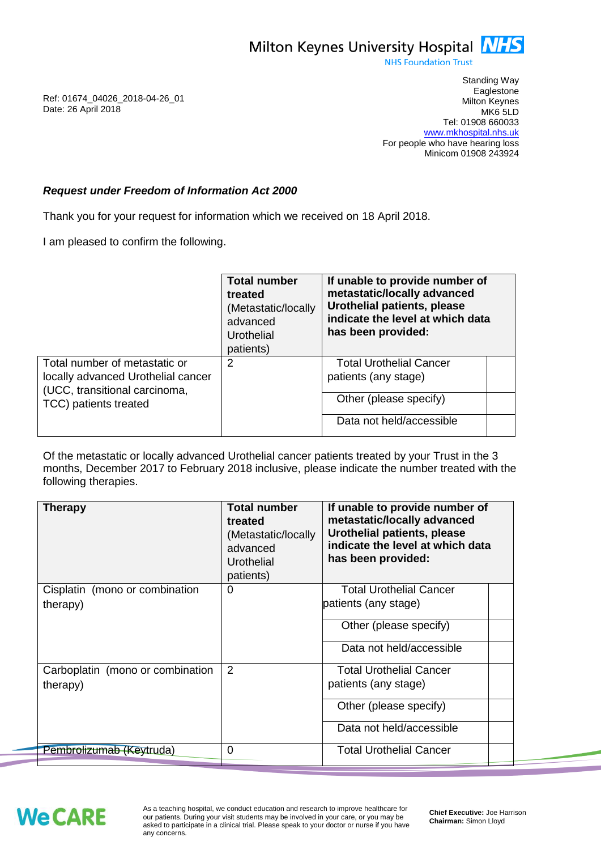

**NHS Foundation Trust** 

Ref: 01674\_04026\_2018-04-26\_01 Date: 26 April 2018

Standing Way **Eaglestone** Milton Keynes MK6 5LD Tel: 01908 660033 [www.mkhospital.nhs.uk](http://www.mkhospital.nhs.uk/) For people who have hearing loss Minicom 01908 243924

## *Request under Freedom of Information Act 2000*

Thank you for your request for information which we received on 18 April 2018.

I am pleased to confirm the following.

|                                                                                                                               | <b>Total number</b><br>treated<br>(Metastatic/locally<br>advanced<br>Urothelial<br>patients) | If unable to provide number of<br>metastatic/locally advanced<br><b>Urothelial patients, please</b><br>indicate the level at which data<br>has been provided: |  |
|-------------------------------------------------------------------------------------------------------------------------------|----------------------------------------------------------------------------------------------|---------------------------------------------------------------------------------------------------------------------------------------------------------------|--|
| Total number of metastatic or<br>locally advanced Urothelial cancer<br>(UCC, transitional carcinoma,<br>TCC) patients treated | 2                                                                                            | <b>Total Urothelial Cancer</b><br>patients (any stage)                                                                                                        |  |
|                                                                                                                               |                                                                                              | Other (please specify)                                                                                                                                        |  |
|                                                                                                                               |                                                                                              | Data not held/accessible                                                                                                                                      |  |

Of the metastatic or locally advanced Urothelial cancer patients treated by your Trust in the 3 months, December 2017 to February 2018 inclusive, please indicate the number treated with the following therapies.

| <b>Therapy</b>                               | <b>Total number</b><br>treated<br>(Metastatic/locally<br>advanced<br>Urothelial<br>patients) | If unable to provide number of<br>metastatic/locally advanced<br>Urothelial patients, please<br>indicate the level at which data<br>has been provided: |
|----------------------------------------------|----------------------------------------------------------------------------------------------|--------------------------------------------------------------------------------------------------------------------------------------------------------|
| Cisplatin (mono or combination<br>therapy)   | 0                                                                                            | <b>Total Urothelial Cancer</b><br>patients (any stage)<br>Other (please specify)                                                                       |
|                                              |                                                                                              | Data not held/accessible                                                                                                                               |
| Carboplatin (mono or combination<br>therapy) | 2                                                                                            | <b>Total Urothelial Cancer</b><br>patients (any stage)<br>Other (please specify)<br>Data not held/accessible                                           |
| Pembrolizumab (Keytruda)                     | 0                                                                                            | Total Urothelial Cancer                                                                                                                                |